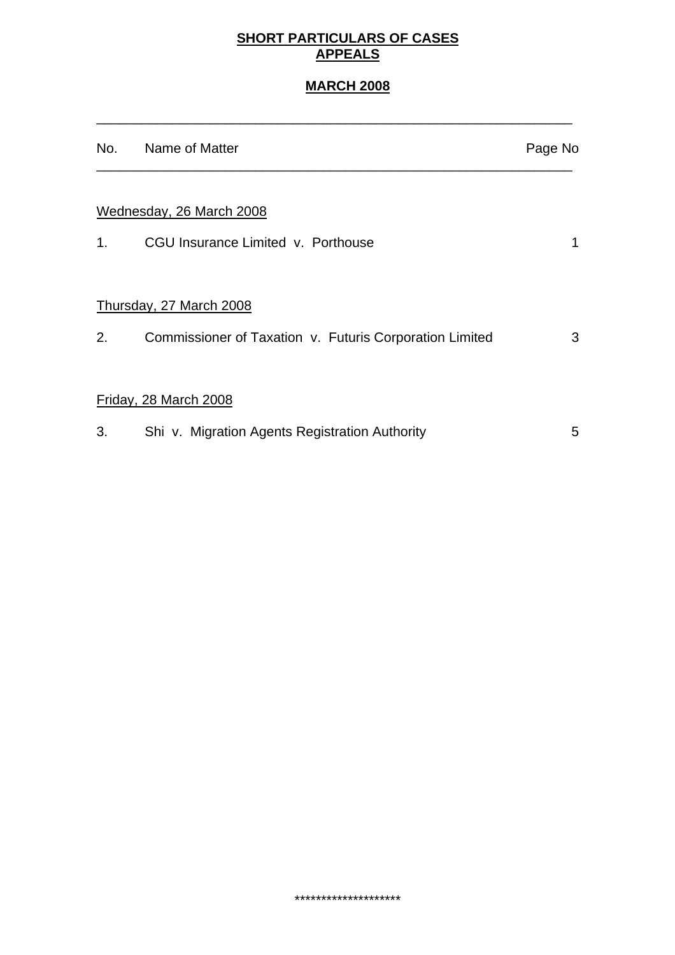#### **SHORT PARTICULARS OF CASES APPEALS**

# **MARCH 2008**

\_\_\_\_\_\_\_\_\_\_\_\_\_\_\_\_\_\_\_\_\_\_\_\_\_\_\_\_\_\_\_\_\_\_\_\_\_\_\_\_\_\_\_\_\_\_\_\_\_\_\_\_\_\_\_\_\_\_\_\_\_\_\_

|    | No. Name of Matter                                      | Page No |
|----|---------------------------------------------------------|---------|
|    | Wednesday, 26 March 2008                                |         |
| 1. | CGU Insurance Limited v. Porthouse                      | 1       |
|    | Thursday, 27 March 2008                                 |         |
| 2. | Commissioner of Taxation v. Futuris Corporation Limited | 3       |
|    | Friday, 28 March 2008                                   |         |
| 3. | Shi v. Migration Agents Registration Authority          | 5       |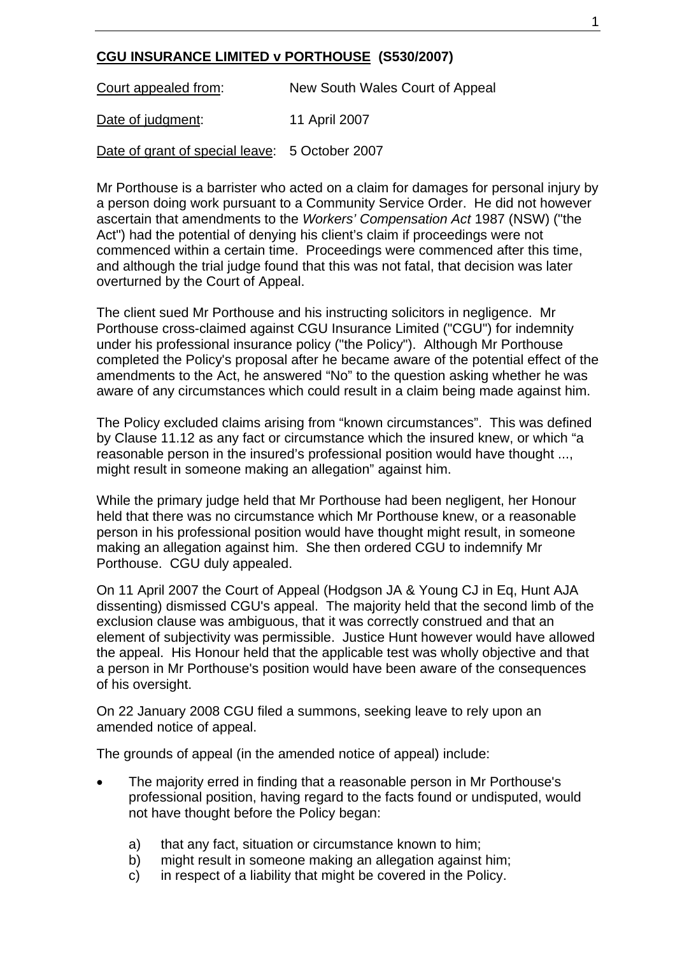## **CGU INSURANCE LIMITED v PORTHOUSE (S530/2007)**

Court appealed from: New South Wales Court of Appeal Date of judgment: 11 April 2007

Date of grant of special leave: 5 October 2007

Mr Porthouse is a barrister who acted on a claim for damages for personal injury by a person doing work pursuant to a Community Service Order. He did not however ascertain that amendments to the *Workers' Compensation Act* 1987 (NSW) ("the Act") had the potential of denying his client's claim if proceedings were not commenced within a certain time. Proceedings were commenced after this time, and although the trial judge found that this was not fatal, that decision was later overturned by the Court of Appeal.

The client sued Mr Porthouse and his instructing solicitors in negligence. Mr Porthouse cross-claimed against CGU Insurance Limited ("CGU") for indemnity under his professional insurance policy ("the Policy"). Although Mr Porthouse completed the Policy's proposal after he became aware of the potential effect of the amendments to the Act, he answered "No" to the question asking whether he was aware of any circumstances which could result in a claim being made against him.

The Policy excluded claims arising from "known circumstances". This was defined by Clause 11.12 as any fact or circumstance which the insured knew, or which "a reasonable person in the insured's professional position would have thought ..., might result in someone making an allegation" against him.

While the primary judge held that Mr Porthouse had been negligent, her Honour held that there was no circumstance which Mr Porthouse knew, or a reasonable person in his professional position would have thought might result, in someone making an allegation against him. She then ordered CGU to indemnify Mr Porthouse. CGU duly appealed.

On 11 April 2007 the Court of Appeal (Hodgson JA & Young CJ in Eq, Hunt AJA dissenting) dismissed CGU's appeal. The majority held that the second limb of the exclusion clause was ambiguous, that it was correctly construed and that an element of subjectivity was permissible. Justice Hunt however would have allowed the appeal. His Honour held that the applicable test was wholly objective and that a person in Mr Porthouse's position would have been aware of the consequences of his oversight.

On 22 January 2008 CGU filed a summons, seeking leave to rely upon an amended notice of appeal.

The grounds of appeal (in the amended notice of appeal) include:

- The majority erred in finding that a reasonable person in Mr Porthouse's professional position, having regard to the facts found or undisputed, would not have thought before the Policy began:
	- a) that any fact, situation or circumstance known to him;
	- b) might result in someone making an allegation against him;
	- c) in respect of a liability that might be covered in the Policy.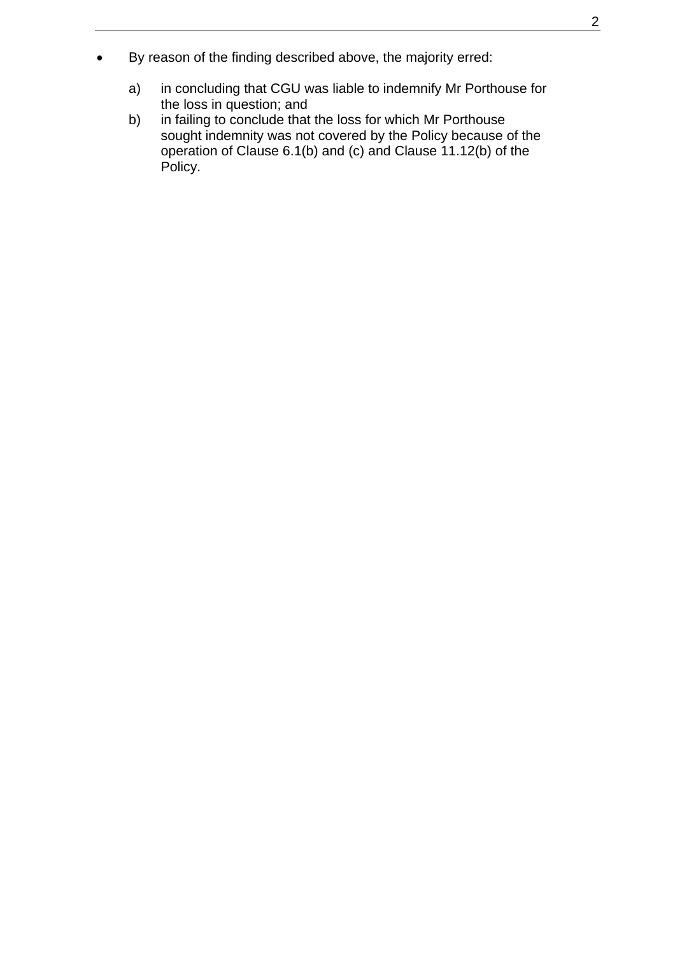- By reason of the finding described above, the majority erred:
	- a) in concluding that CGU was liable to indemnify Mr Porthouse for the loss in question; and<br>b) in failing to conclude that
	- in failing to conclude that the loss for which Mr Porthouse sought indemnity was not covered by the Policy because of the operation of Clause 6.1(b) and (c) and Clause 11.12(b) of the Policy.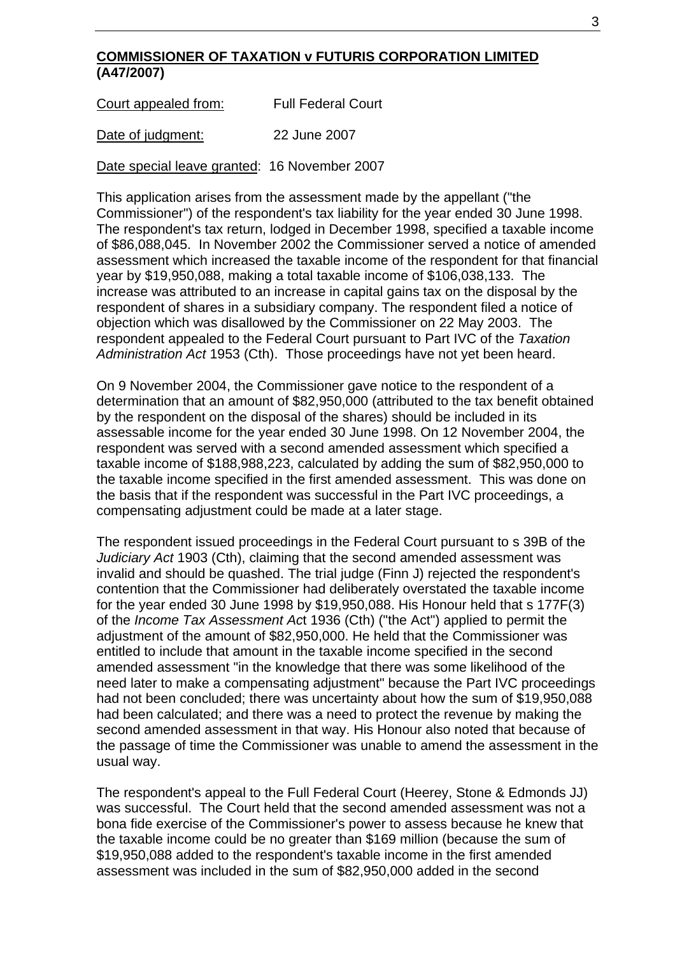#### **COMMISSIONER OF TAXATION v FUTURIS CORPORATION LIMITED (A47/2007)**

Court appealed from:Full Federal Court

Date of judgment: 22 June 2007

Date special leave granted: 16 November 2007

This application arises from the assessment made by the appellant ("the Commissioner") of the respondent's tax liability for the year ended 30 June 1998. The respondent's tax return, lodged in December 1998, specified a taxable income of \$86,088,045. In November 2002 the Commissioner served a notice of amended assessment which increased the taxable income of the respondent for that financial year by \$19,950,088, making a total taxable income of \$106,038,133. The increase was attributed to an increase in capital gains tax on the disposal by the respondent of shares in a subsidiary company. The respondent filed a notice of objection which was disallowed by the Commissioner on 22 May 2003. The respondent appealed to the Federal Court pursuant to Part IVC of the *Taxation Administration Act* 1953 (Cth). Those proceedings have not yet been heard.

On 9 November 2004, the Commissioner gave notice to the respondent of a determination that an amount of \$82,950,000 (attributed to the tax benefit obtained by the respondent on the disposal of the shares) should be included in its assessable income for the year ended 30 June 1998. On 12 November 2004, the respondent was served with a second amended assessment which specified a taxable income of \$188,988,223, calculated by adding the sum of \$82,950,000 to the taxable income specified in the first amended assessment. This was done on the basis that if the respondent was successful in the Part IVC proceedings, a compensating adjustment could be made at a later stage.

The respondent issued proceedings in the Federal Court pursuant to s 39B of the *Judiciary Act* 1903 (Cth), claiming that the second amended assessment was invalid and should be quashed. The trial judge (Finn J) rejected the respondent's contention that the Commissioner had deliberately overstated the taxable income for the year ended 30 June 1998 by \$19,950,088. His Honour held that s 177F(3) of the *Income Tax Assessment Ac*t 1936 (Cth) ("the Act") applied to permit the adjustment of the amount of \$82,950,000. He held that the Commissioner was entitled to include that amount in the taxable income specified in the second amended assessment "in the knowledge that there was some likelihood of the need later to make a compensating adjustment" because the Part IVC proceedings had not been concluded; there was uncertainty about how the sum of \$19,950,088 had been calculated; and there was a need to protect the revenue by making the second amended assessment in that way. His Honour also noted that because of the passage of time the Commissioner was unable to amend the assessment in the usual way.

The respondent's appeal to the Full Federal Court (Heerey, Stone & Edmonds JJ) was successful. The Court held that the second amended assessment was not a bona fide exercise of the Commissioner's power to assess because he knew that the taxable income could be no greater than \$169 million (because the sum of \$19,950,088 added to the respondent's taxable income in the first amended assessment was included in the sum of \$82,950,000 added in the second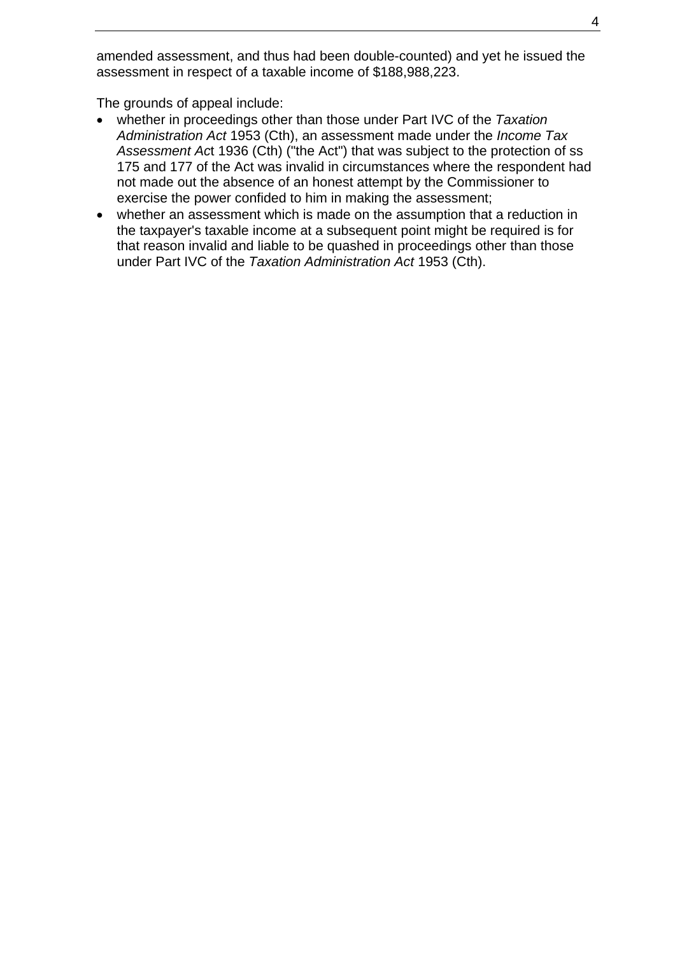amended assessment, and thus had been double-counted) and yet he issued the assessment in respect of a taxable income of \$188,988,223.

The grounds of appeal include:

- whether in proceedings other than those under Part IVC of the *Taxation Administration Act* 1953 (Cth), an assessment made under the *Income Tax Assessment Ac*t 1936 (Cth) ("the Act") that was subject to the protection of ss 175 and 177 of the Act was invalid in circumstances where the respondent had not made out the absence of an honest attempt by the Commissioner to exercise the power confided to him in making the assessment;
- whether an assessment which is made on the assumption that a reduction in the taxpayer's taxable income at a subsequent point might be required is for that reason invalid and liable to be quashed in proceedings other than those under Part IVC of the *Taxation Administration Act* 1953 (Cth).